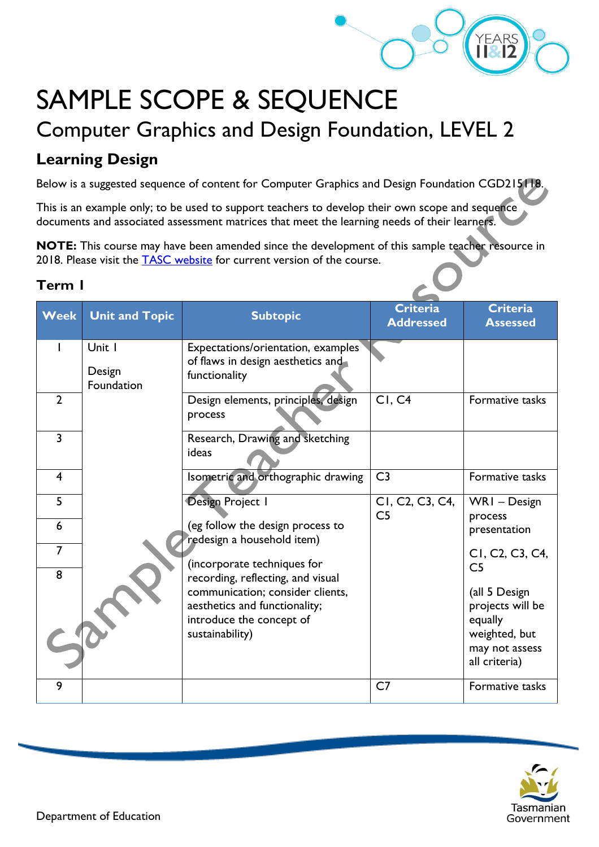

# SAMPLE SCOPE & SEQUENCE

# Computer Graphics and Design Foundation, LEVEL 2

# **Learning Design**

Below is a suggested sequence of content for Computer Graphics and Design Foundation CGD215118.

This is an example only; to be used to support teachers to develop their own scope and sequence documents and associated assessment matrices that meet the learning needs of their learners.

**NOTE:** This course may have been amended since the development of this sample teacher resource in 2018. Please visit the [TASC website](https://www.tasc.tas.gov.au/students/courses/a-z/) for current version of the course.

### **Term 1**

| <b>Week</b>         | <b>Unit and Topic</b>          | <b>Subtopic</b>                                                                                                  | <b>Criteria</b><br><b>Addressed</b>                                      | <b>Criteria</b><br><b>Assessed</b>                                                               |
|---------------------|--------------------------------|------------------------------------------------------------------------------------------------------------------|--------------------------------------------------------------------------|--------------------------------------------------------------------------------------------------|
|                     | Unit I<br>Design<br>Foundation | Expectations/orientation, examples<br>of flaws in design aesthetics and<br>functionality                         |                                                                          |                                                                                                  |
| $\overline{2}$      |                                | Design elements, principles, design<br>process                                                                   | CI, C4                                                                   | Formative tasks                                                                                  |
| $\overline{3}$      |                                | Research, Drawing and sketching<br>ideas                                                                         |                                                                          |                                                                                                  |
| $\overline{4}$      |                                | Isometric and orthographic drawing                                                                               | C <sub>3</sub>                                                           | Formative tasks                                                                                  |
| 5                   |                                | Design Project I                                                                                                 | CI, C <sub>2</sub> , C <sub>3</sub> , C <sub>4</sub> ,<br>C <sub>5</sub> | WRI-Design<br>process                                                                            |
| 6                   |                                | (eg follow the design process to<br>redesign a household item)                                                   |                                                                          | presentation                                                                                     |
| $\overline{7}$<br>8 |                                | (incorporate techniques for<br>recording, reflecting, and visual                                                 |                                                                          | CI, C <sub>2</sub> , C <sub>3</sub> , C <sub>4</sub> ,<br>C <sub>5</sub>                         |
|                     |                                | communication; consider clients,<br>aesthetics and functionality;<br>introduce the concept of<br>sustainability) |                                                                          | (all 5 Design<br>projects will be<br>equally<br>weighted, but<br>may not assess<br>all criteria) |
| 9                   |                                |                                                                                                                  | C <sub>7</sub>                                                           | Formative tasks                                                                                  |

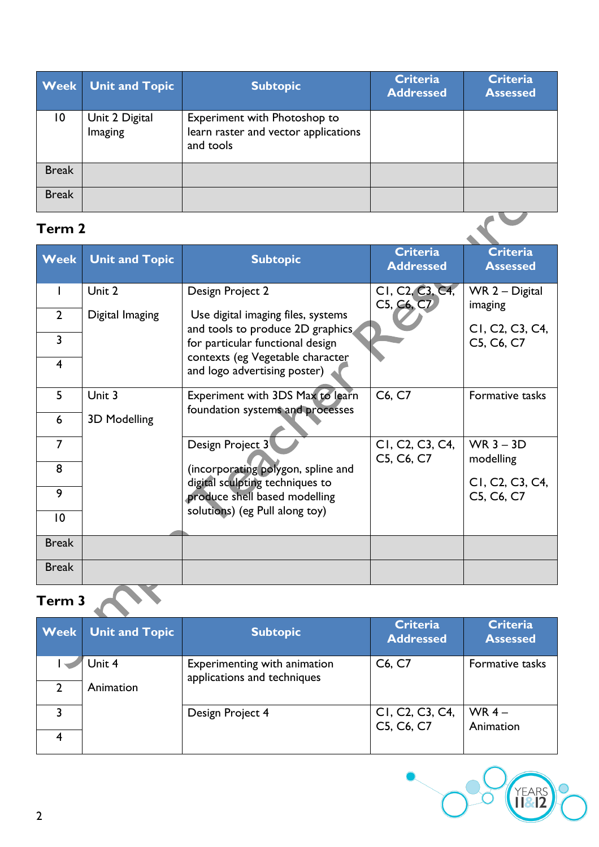|                 | <b>Week</b> Unit and Topic | <b>Subtopic</b>                                                                   | <b>Criteria</b><br><b>Addressed</b> | <b>Criteria</b><br><b>Assessed</b> |
|-----------------|----------------------------|-----------------------------------------------------------------------------------|-------------------------------------|------------------------------------|
| $\overline{10}$ | Unit 2 Digital<br>Imaging  | Experiment with Photoshop to<br>learn raster and vector applications<br>and tools |                                     |                                    |
| <b>Break</b>    |                            |                                                                                   |                                     |                                    |
| <b>Break</b>    |                            |                                                                                   |                                     |                                    |

## **Term 2**

| <b>Week</b>    | <b>Unit and Topic</b> | <b>Subtopic</b>                                                       | <b>Criteria</b><br><b>Addressed</b>                                  | <b>Criteria</b><br><b>Assessed</b>                                   |
|----------------|-----------------------|-----------------------------------------------------------------------|----------------------------------------------------------------------|----------------------------------------------------------------------|
| L              | Unit 2                | Design Project 2                                                      | CI, C <sub>2</sub> , C <sub>3</sub> , C <sub>4</sub> ,<br>C5, C6, C7 | WR 2 - Digital<br>imaging                                            |
| $\overline{2}$ | Digital Imaging       | Use digital imaging files, systems                                    |                                                                      |                                                                      |
| $\overline{3}$ |                       | and tools to produce 2D graphics<br>for particular functional design  |                                                                      | CI, C <sub>2</sub> , C <sub>3</sub> , C <sub>4</sub> ,<br>C5, C6, C7 |
| $\overline{4}$ |                       | contexts (eg Vegetable character<br>and logo advertising poster)      |                                                                      |                                                                      |
| 5              | Unit 3                | Experiment with 3DS Max to learn<br>foundation systems and processes  | C6, C7                                                               | Formative tasks                                                      |
| 6              | 3D Modelling          |                                                                       |                                                                      |                                                                      |
| $\overline{7}$ |                       | Design Project 3                                                      | CI, C <sub>2</sub> , C <sub>3</sub> , C <sub>4</sub> ,<br>C5, C6, C7 | WR $3 - 3D$<br>modelling                                             |
| 8              |                       | (incorporating polygon, spline and<br>digital sculpting techniques to |                                                                      | CI, C <sub>2</sub> , C <sub>3</sub> , C <sub>4</sub> ,               |
| 9              |                       | produce shell based modelling                                         |                                                                      | C5, C6, C7                                                           |
| 10             |                       | solutions) (eg Pull along toy)                                        |                                                                      |                                                                      |
| <b>Break</b>   |                       |                                                                       |                                                                      |                                                                      |
| <b>Break</b>   |                       |                                                                       |                                                                      |                                                                      |
| Term 3         |                       |                                                                       |                                                                      |                                                                      |

|   | <b>Week</b> Unit and Topic | <b>Subtopic</b>                                             | <b>Criteria</b><br><b>Addressed</b>                                  | <b>Criteria</b><br><b>Assessed</b> |
|---|----------------------------|-------------------------------------------------------------|----------------------------------------------------------------------|------------------------------------|
| 2 | Unit 4<br>Animation        | Experimenting with animation<br>applications and techniques | C6, C7                                                               | Formative tasks                    |
|   |                            | Design Project 4                                            | CI, C <sub>2</sub> , C <sub>3</sub> , C <sub>4</sub> ,<br>C5, C6, C7 | WR $4-$<br>Animation               |